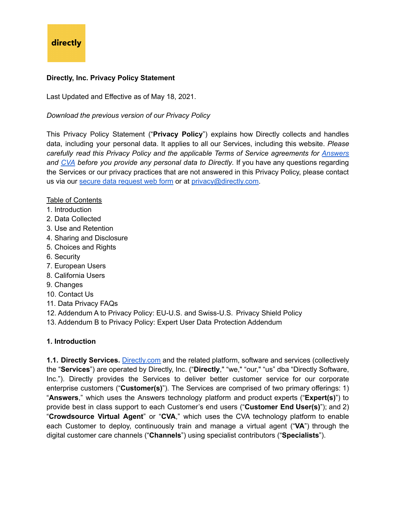# directly

#### **Directly, Inc. Privacy Policy Statement**

Last Updated and Effective as of May 18, 2021.

*Download the previous version of our Privacy Policy*

This Privacy Policy Statement ("**Privacy Policy**") explains how Directly collects and handles data, including your personal data. It applies to all our Services, including this website. *Please carefully read this Privacy Policy and the applicable Terms of Service agreements for [Answers](https://directly.com/legal/) and [CVA](https://directly.com/legal/cva-terms-and-privacy/) before you provide any personal data to Directly*. If you have any questions regarding the Services or our privacy practices that are not answered in this Privacy Policy, please contact us via our secure data [request](https://privacyportal-eu.onetrust.com/webform/15281027-03c3-4fd3-9572-f38ab1d30f12/57870379-7e35-47ac-9690-21993bfbdc5a) web form or at [privacy@directly.com](mailto:privacy@directly.com).

#### Table of Contents

- 1. Introduction
- 2. Data Collected
- 3. Use and Retention
- 4. Sharing and Disclosure
- 5. Choices and Rights
- 6. Security
- 7. European Users
- 8. California Users
- 9. Changes
- 10. Contact Us
- 11. Data Privacy FAQs
- 12. Addendum A to Privacy Policy: EU-U.S. and Swiss-U.S. Privacy Shield Policy
- 13. Addendum B to Privacy Policy: Expert User Data Protection Addendum

#### **1. Introduction**

**1.1. Directly Services.** [Directly.com](http://www.directly.com) and the related platform, software and services (collectively the "**Services**") are operated by Directly, Inc. ("**Directly**," "we," "our," "us" dba "Directly Software, Inc."). Directly provides the Services to deliver better customer service for our corporate enterprise customers ("**Customer(s)**"). The Services are comprised of two primary offerings: 1) "**Answers**," which uses the Answers technology platform and product experts ("**Expert(s)**") to provide best in class support to each Customer's end users ("**Customer End User(s)**"); and 2) "**Crowdsource Virtual Agent**" or "**CVA**," which uses the CVA technology platform to enable each Customer to deploy, continuously train and manage a virtual agent ("**VA**") through the digital customer care channels ("**Channels**") using specialist contributors ("**Specialists**").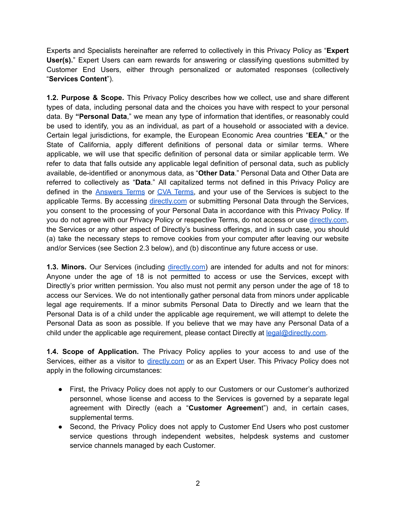Experts and Specialists hereinafter are referred to collectively in this Privacy Policy as "**Expert User(s).**" Expert Users can earn rewards for answering or classifying questions submitted by Customer End Users, either through personalized or automated responses (collectively "**Services Content**").

**1.2. Purpose & Scope.** This Privacy Policy describes how we collect, use and share different types of data, including personal data and the choices you have with respect to your personal data. By **"Personal Data**," we mean any type of information that identifies, or reasonably could be used to identify, you as an individual, as part of a household or associated with a device. Certain legal jurisdictions, for example, the European Economic Area countries "**EEA**," or the State of California, apply different definitions of personal data or similar terms. Where applicable, we will use that specific definition of personal data or similar applicable term. We refer to data that falls outside any applicable legal definition of personal data, such as publicly available, de-identified or anonymous data, as "**Other Data**." Personal Data and Other Data are referred to collectively as "**Data**." All capitalized terms not defined in this Privacy Policy are defined in the **[Answers](https://directly.com/legal/) Terms** or CVA [Terms,](https://directly.com/legal/cva-terms-and-privacy/) and your use of the Services is subject to the applicable Terms. By accessing [directly.com](http://www.directly.com) or submitting Personal Data through the Services, you consent to the processing of your Personal Data in accordance with this Privacy Policy. If you do not agree with our Privacy Policy or respective Terms, do not access or use [directly.com](http://www.directly.com), the Services or any other aspect of Directly's business offerings, and in such case, you should (a) take the necessary steps to remove cookies from your computer after leaving our website and/or Services (see Section 2.3 below), and (b) discontinue any future access or use.

**1.3. Minors.** Our Services (including [directly.com\)](http://www.directly.com) are intended for adults and not for minors: Anyone under the age of 18 is not permitted to access or use the Services, except with Directly's prior written permission. You also must not permit any person under the age of 18 to access our Services. We do not intentionally gather personal data from minors under applicable legal age requirements. If a minor submits Personal Data to Directly and we learn that the Personal Data is of a child under the applicable age requirement, we will attempt to delete the Personal Data as soon as possible. If you believe that we may have any Personal Data of a child under the applicable age requirement, please contact Directly at [legal@directly.com.](mailto:legal@directly.com)

**1.4. Scope of Application.** The Privacy Policy applies to your access to and use of the Services, either as a visitor to [directly.com](http://www.directly.com) or as an Expert User. This Privacy Policy does not apply in the following circumstances:

- First, the Privacy Policy does not apply to our Customers or our Customer's authorized personnel, whose license and access to the Services is governed by a separate legal agreement with Directly (each a "**Customer Agreemen**t") and, in certain cases, supplemental terms.
- Second, the Privacy Policy does not apply to Customer End Users who post customer service questions through independent websites, helpdesk systems and customer service channels managed by each Customer.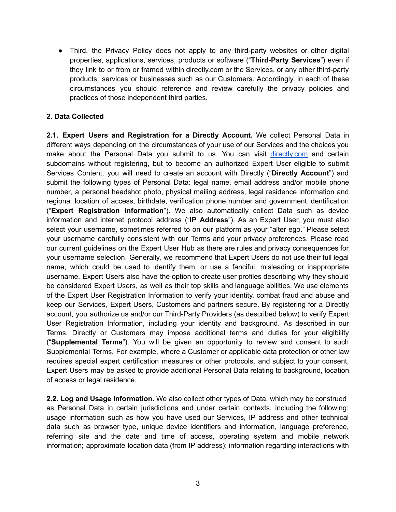• Third, the Privacy Policy does not apply to any third-party websites or other digital properties, applications, services, products or software ("**Third-Party Services**") even if they link to or from or framed within directly.com or the Services, or any other third-party products, services or businesses such as our Customers. Accordingly, in each of these circumstances you should reference and review carefully the privacy policies and practices of those independent third parties.

# **2. Data Collected**

**2.1. Expert Users and Registration for a Directly Account.** We collect Personal Data in different ways depending on the circumstances of your use of our Services and the choices you make about the Personal Data you submit to us. You can visit [directly.com](http://www.directly.com) and certain subdomains without registering, but to become an authorized Expert User eligible to submit Services Content, you will need to create an account with Directly ("**Directly Account**") and submit the following types of Personal Data: legal name, email address and/or mobile phone number, a personal headshot photo, physical mailing address, legal residence information and regional location of access, birthdate, verification phone number and government identification ("**Expert Registration Information**"). We also automatically collect Data such as device information and internet protocol address ("**IP Address**"). As an Expert User, you must also select your username, sometimes referred to on our platform as your "alter ego." Please select your username carefully consistent with our Terms and your privacy preferences. Please read our current guidelines on the Expert User Hub as there are rules and privacy consequences for your username selection. Generally, we recommend that Expert Users do not use their full legal name, which could be used to identify them, or use a fanciful, misleading or inappropriate username. Expert Users also have the option to create user profiles describing why they should be considered Expert Users, as well as their top skills and language abilities. We use elements of the Expert User Registration Information to verify your identity, combat fraud and abuse and keep our Services, Expert Users, Customers and partners secure. By registering for a Directly account, you authorize us and/or our Third-Party Providers (as described below) to verify Expert User Registration Information, including your identity and background. As described in our Terms, Directly or Customers may impose additional terms and duties for your eligibility ("**Supplemental Terms**"). You will be given an opportunity to review and consent to such Supplemental Terms. For example, where a Customer or applicable data protection or other law requires special expert certification measures or other protocols, and subject to your consent, Expert Users may be asked to provide additional Personal Data relating to background, location of access or legal residence.

**2.2. Log and Usage Information.** We also collect other types of Data, which may be construed as Personal Data in certain jurisdictions and under certain contexts, including the following: usage information such as how you have used our Services, IP address and other technical data such as browser type, unique device identifiers and information, language preference, referring site and the date and time of access, operating system and mobile network information; approximate location data (from IP address); information regarding interactions with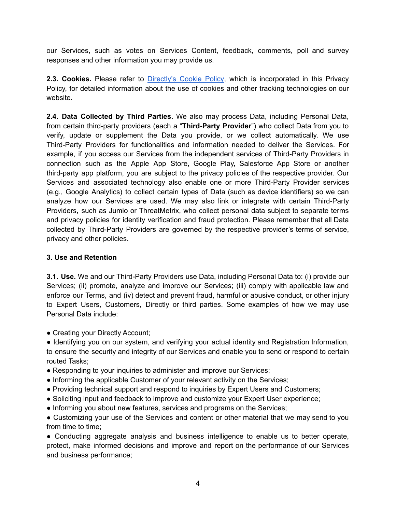our Services, such as votes on Services Content, feedback, comments, poll and survey responses and other information you may provide us.

**2.3. Cookies.** Please refer to [Directly's](https://directly.com/legal/cookie-policy/) Cookie Policy, which is incorporated in this Privacy Policy, for detailed information about the use of cookies and other tracking technologies on our website.

**2.4. Data Collected by Third Parties.** We also may process Data, including Personal Data, from certain third-party providers (each a "**Third-Party Provider**") who collect Data from you to verify, update or supplement the Data you provide, or we collect automatically. We use Third-Party Providers for functionalities and information needed to deliver the Services. For example, if you access our Services from the independent services of Third-Party Providers in connection such as the Apple App Store, Google Play, Salesforce App Store or another third-party app platform, you are subject to the privacy policies of the respective provider. Our Services and associated technology also enable one or more Third-Party Provider services (e.g., Google Analytics) to collect certain types of Data (such as device identifiers) so we can analyze how our Services are used. We may also link or integrate with certain Third-Party Providers, such as Jumio or ThreatMetrix, who collect personal data subject to separate terms and privacy policies for identity verification and fraud protection. Please remember that all Data collected by Third-Party Providers are governed by the respective provider's terms of service, privacy and other policies.

## **3. Use and Retention**

**3.1. Use.** We and our Third-Party Providers use Data, including Personal Data to: (i) provide our Services; (ii) promote, analyze and improve our Services; (iii) comply with applicable law and enforce our Terms, and (iv) detect and prevent fraud, harmful or abusive conduct, or other injury to Expert Users, Customers, Directly or third parties. Some examples of how we may use Personal Data include:

- Creating your Directly Account;
- Identifying you on our system, and verifying your actual identity and Registration Information, to ensure the security and integrity of our Services and enable you to send or respond to certain routed Tasks;
- Responding to your inquiries to administer and improve our Services;
- Informing the applicable Customer of your relevant activity on the Services;
- Providing technical support and respond to inquiries by Expert Users and Customers;
- Soliciting input and feedback to improve and customize your Expert User experience;
- Informing you about new features, services and programs on the Services;
- Customizing your use of the Services and content or other material that we may send to you from time to time;

● Conducting aggregate analysis and business intelligence to enable us to better operate, protect, make informed decisions and improve and report on the performance of our Services and business performance;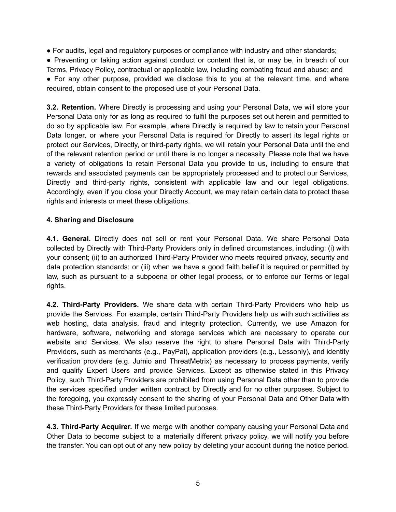● For audits, legal and regulatory purposes or compliance with industry and other standards;

● Preventing or taking action against conduct or content that is, or may be, in breach of our Terms, Privacy Policy, contractual or applicable law, including combating fraud and abuse; and • For any other purpose, provided we disclose this to you at the relevant time, and where required, obtain consent to the proposed use of your Personal Data.

**3.2. Retention.** Where Directly is processing and using your Personal Data, we will store your Personal Data only for as long as required to fulfil the purposes set out herein and permitted to do so by applicable law. For example, where Directly is required by law to retain your Personal Data longer, or where your Personal Data is required for Directly to assert its legal rights or protect our Services, Directly, or third-party rights, we will retain your Personal Data until the end of the relevant retention period or until there is no longer a necessity. Please note that we have a variety of obligations to retain Personal Data you provide to us, including to ensure that rewards and associated payments can be appropriately processed and to protect our Services, Directly and third-party rights, consistent with applicable law and our legal obligations. Accordingly, even if you close your Directly Account, we may retain certain data to protect these rights and interests or meet these obligations.

### **4. Sharing and Disclosure**

**4.1. General.** Directly does not sell or rent your Personal Data. We share Personal Data collected by Directly with Third-Party Providers only in defined circumstances, including: (i) with your consent; (ii) to an authorized Third-Party Provider who meets required privacy, security and data protection standards; or (iii) when we have a good faith belief it is required or permitted by law, such as pursuant to a subpoena or other legal process, or to enforce our Terms or legal rights.

**4.2. Third-Party Providers.** We share data with certain Third-Party Providers who help us provide the Services. For example, certain Third-Party Providers help us with such activities as web hosting, data analysis, fraud and integrity protection. Currently, we use Amazon for hardware, software, networking and storage services which are necessary to operate our website and Services. We also reserve the right to share Personal Data with Third-Party Providers, such as merchants (e.g., PayPal), application providers (e.g., Lessonly), and identity verification providers (e.g. Jumio and ThreatMetrix) as necessary to process payments, verify and qualify Expert Users and provide Services. Except as otherwise stated in this Privacy Policy, such Third-Party Providers are prohibited from using Personal Data other than to provide the services specified under written contract by Directly and for no other purposes. Subject to the foregoing, you expressly consent to the sharing of your Personal Data and Other Data with these Third-Party Providers for these limited purposes.

**4.3. Third-Party Acquirer.** If we merge with another company causing your Personal Data and Other Data to become subject to a materially different privacy policy, we will notify you before the transfer. You can opt out of any new policy by deleting your account during the notice period.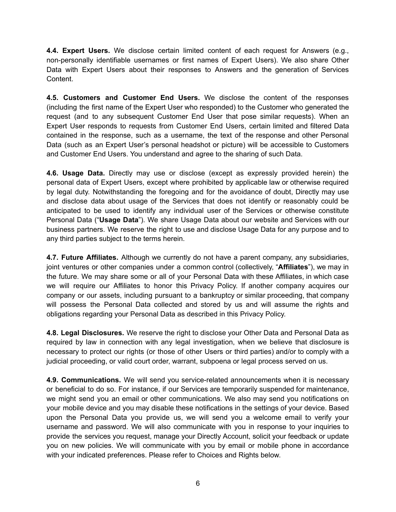**4.4. Expert Users.** We disclose certain limited content of each request for Answers (e.g., non-personally identifiable usernames or first names of Expert Users). We also share Other Data with Expert Users about their responses to Answers and the generation of Services Content.

**4.5. Customers and Customer End Users.** We disclose the content of the responses (including the first name of the Expert User who responded) to the Customer who generated the request (and to any subsequent Customer End User that pose similar requests). When an Expert User responds to requests from Customer End Users, certain limited and filtered Data contained in the response, such as a username, the text of the response and other Personal Data (such as an Expert User's personal headshot or picture) will be accessible to Customers and Customer End Users. You understand and agree to the sharing of such Data.

**4.6. Usage Data.** Directly may use or disclose (except as expressly provided herein) the personal data of Expert Users, except where prohibited by applicable law or otherwise required by legal duty. Notwithstanding the foregoing and for the avoidance of doubt, Directly may use and disclose data about usage of the Services that does not identify or reasonably could be anticipated to be used to identify any individual user of the Services or otherwise constitute Personal Data ("**Usage Data**"). We share Usage Data about our website and Services with our business partners. We reserve the right to use and disclose Usage Data for any purpose and to any third parties subject to the terms herein.

**4.7. Future Affiliates.** Although we currently do not have a parent company, any subsidiaries, joint ventures or other companies under a common control (collectively, "**Affiliates**"), we may in the future. We may share some or all of your Personal Data with these Affiliates, in which case we will require our Affiliates to honor this Privacy Policy. If another company acquires our company or our assets, including pursuant to a bankruptcy or similar proceeding, that company will possess the Personal Data collected and stored by us and will assume the rights and obligations regarding your Personal Data as described in this Privacy Policy.

**4.8. Legal Disclosures.** We reserve the right to disclose your Other Data and Personal Data as required by law in connection with any legal investigation, when we believe that disclosure is necessary to protect our rights (or those of other Users or third parties) and/or to comply with a judicial proceeding, or valid court order, warrant, subpoena or legal process served on us.

**4.9. Communications.** We will send you service-related announcements when it is necessary or beneficial to do so. For instance, if our Services are temporarily suspended for maintenance, we might send you an email or other communications. We also may send you notifications on your mobile device and you may disable these notifications in the settings of your device. Based upon the Personal Data you provide us, we will send you a welcome email to verify your username and password. We will also communicate with you in response to your inquiries to provide the services you request, manage your Directly Account, solicit your feedback or update you on new policies. We will communicate with you by email or mobile phone in accordance with your indicated preferences. Please refer to Choices and Rights below.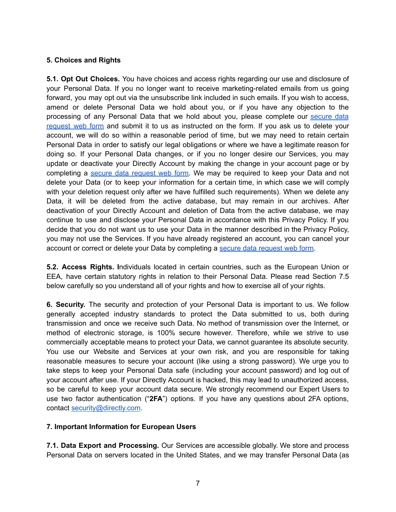# **5. Choices and Rights**

**5.1. Opt Out Choices.** You have choices and access rights regarding our use and disclosure of your Personal Data. If you no longer want to receive marketing-related emails from us going forward, you may opt out via the unsubscribe link included in such emails. If you wish to access, amend or delete Personal Data we hold about you, or if you have any objection to the processing of any Personal Data that we hold about you, please complete our [secure](https://privacyportal-eu.onetrust.com/webform/15281027-03c3-4fd3-9572-f38ab1d30f12/57870379-7e35-47ac-9690-21993bfbdc5a) data [request](https://privacyportal-eu.onetrust.com/webform/15281027-03c3-4fd3-9572-f38ab1d30f12/57870379-7e35-47ac-9690-21993bfbdc5a) web form and submit it to us as instructed on the form. If you ask us to delete your account, we will do so within a reasonable period of time, but we may need to retain certain Personal Data in order to satisfy our legal obligations or where we have a legitimate reason for doing so. If your Personal Data changes, or if you no longer desire our Services, you may update or deactivate your Directly Account by making the change in your account page or by completing a secure data [request](https://privacyportal-eu.onetrust.com/webform/15281027-03c3-4fd3-9572-f38ab1d30f12/57870379-7e35-47ac-9690-21993bfbdc5a) web form. We may be required to keep your Data and not delete your Data (or to keep your information for a certain time, in which case we will comply with your deletion request only after we have fulfilled such requirements). When we delete any Data, it will be deleted from the active database, but may remain in our archives. After deactivation of your Directly Account and deletion of Data from the active database, we may continue to use and disclose your Personal Data in accordance with this Privacy Policy. If you decide that you do not want us to use your Data in the manner described in the Privacy Policy, you may not use the Services. If you have already registered an account, you can cancel your account or correct or delete your Data by completing a secure data [request](https://privacyportal-eu.onetrust.com/webform/15281027-03c3-4fd3-9572-f38ab1d30f12/57870379-7e35-47ac-9690-21993bfbdc5a) web form.

**5.2. Access Rights. I**ndividuals located in certain countries, such as the European Union or EEA, have certain statutory rights in relation to their Personal Data. Please read Section 7.5 below carefully so you understand all of your rights and how to exercise all of your rights.

**6. Security.** The security and protection of your Personal Data is important to us. We follow generally accepted industry standards to protect the Data submitted to us, both during transmission and once we receive such Data. No method of transmission over the Internet, or method of electronic storage, is 100% secure however. Therefore, while we strive to use commercially acceptable means to protect your Data, we cannot guarantee its absolute security. You use our Website and Services at your own risk, and you are responsible for taking reasonable measures to secure your account (like using a strong password). We urge you to take steps to keep your Personal Data safe (including your account password) and log out of your account after use. If your Directly Account is hacked, this may lead to unauthorized access, so be careful to keep your account data secure. We strongly recommend our Expert Users to use two factor authentication ("**2FA**") options. If you have any questions about 2FA options, contact [security@directly.com](mailto:security@directly.com).

# **7. Important Information for European Users**

**7.1. Data Export and Processing.** Our Services are accessible globally. We store and process Personal Data on servers located in the United States, and we may transfer Personal Data (as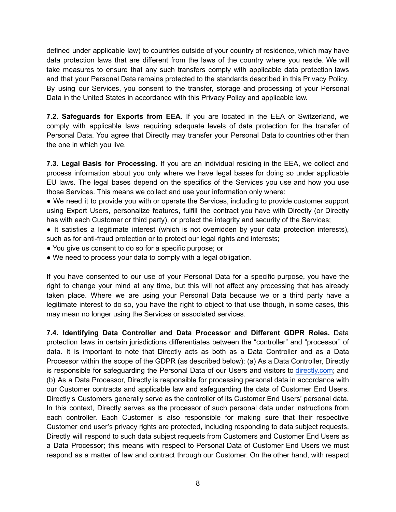defined under applicable law) to countries outside of your country of residence, which may have data protection laws that are different from the laws of the country where you reside. We will take measures to ensure that any such transfers comply with applicable data protection laws and that your Personal Data remains protected to the standards described in this Privacy Policy. By using our Services, you consent to the transfer, storage and processing of your Personal Data in the United States in accordance with this Privacy Policy and applicable law.

**7.2. Safeguards for Exports from EEA.** If you are located in the EEA or Switzerland, we comply with applicable laws requiring adequate levels of data protection for the transfer of Personal Data. You agree that Directly may transfer your Personal Data to countries other than the one in which you live.

**7.3. Legal Basis for Processing.** If you are an individual residing in the EEA, we collect and process information about you only where we have legal bases for doing so under applicable EU laws. The legal bases depend on the specifics of the Services you use and how you use those Services. This means we collect and use your information only where:

• We need it to provide you with or operate the Services, including to provide customer support using Expert Users, personalize features, fulfill the contract you have with Directly (or Directly has with each Customer or third party), or protect the integrity and security of the Services;

● It satisfies a legitimate interest (which is not overridden by your data protection interests), such as for anti-fraud protection or to protect our legal rights and interests;

- You give us consent to do so for a specific purpose; or
- We need to process your data to comply with a legal obligation.

If you have consented to our use of your Personal Data for a specific purpose, you have the right to change your mind at any time, but this will not affect any processing that has already taken place. Where we are using your Personal Data because we or a third party have a legitimate interest to do so, you have the right to object to that use though, in some cases, this may mean no longer using the Services or associated services.

**7.4. Identifying Data Controller and Data Processor and Different GDPR Roles.** Data protection laws in certain jurisdictions differentiates between the "controller" and "processor" of data. It is important to note that Directly acts as both as a Data Controller and as a Data Processor within the scope of the GDPR (as described below): (a) As a Data Controller, Directly is responsible for safeguarding the Personal Data of our Users and visitors to [directly.com;](http://www.directly.com) and (b) As a Data Processor, Directly is responsible for processing personal data in accordance with our Customer contracts and applicable law and safeguarding the data of Customer End Users. Directly's Customers generally serve as the controller of its Customer End Users' personal data. In this context, Directly serves as the processor of such personal data under instructions from each controller. Each Customer is also responsible for making sure that their respective Customer end user's privacy rights are protected, including responding to data subject requests. Directly will respond to such data subject requests from Customers and Customer End Users as a Data Processor; this means with respect to Personal Data of Customer End Users we must respond as a matter of law and contract through our Customer. On the other hand, with respect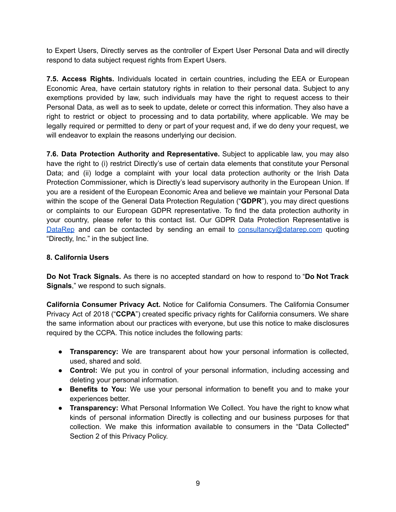to Expert Users, Directly serves as the controller of Expert User Personal Data and will directly respond to data subject request rights from Expert Users.

**7.5. Access Rights.** Individuals located in certain countries, including the EEA or European Economic Area, have certain statutory rights in relation to their personal data. Subject to any exemptions provided by law, such individuals may have the right to request access to their Personal Data, as well as to seek to update, delete or correct this information. They also have a right to restrict or object to processing and to data portability, where applicable. We may be legally required or permitted to deny or part of your request and, if we do deny your request, we will endeavor to explain the reasons underlying our decision.

**7.6. Data Protection Authority and Representative.** Subject to applicable law, you may also have the right to (i) restrict Directly's use of certain data elements that constitute your Personal Data; and (ii) lodge a complaint with your local data protection authority or the Irish Data Protection Commissioner, which is Directly's lead supervisory authority in the European Union. If you are a resident of the European Economic Area and believe we maintain your Personal Data within the scope of the General Data Protection Regulation ("**GDPR**"), you may direct questions or complaints to our European GDPR representative. To find the data protection authority in your country, please refer to this contact list. Our GDPR Data Protection Representative is [DataRep](https://www.datarep.com/) and can be contacted by sending an email to [consultancy@datarep.com](mailto:consultancy@datarep.com) quoting "Directly, Inc." in the subject line.

## **8. California Users**

**Do Not Track Signals.** As there is no accepted standard on how to respond to "**Do Not Track Signals**," we respond to such signals.

**California Consumer Privacy Act.** Notice for California Consumers. The California Consumer Privacy Act of 2018 ("**CCPA**") created specific privacy rights for California consumers. We share the same information about our practices with everyone, but use this notice to make disclosures required by the CCPA. This notice includes the following parts:

- **Transparency:** We are transparent about how your personal information is collected, used, shared and sold.
- **Control:** We put you in control of your personal information, including accessing and deleting your personal information.
- **Benefits to You:** We use your personal information to benefit you and to make your experiences better.
- **Transparency:** What Personal Information We Collect. You have the right to know what kinds of personal information Directly is collecting and our business purposes for that collection. We make this information available to consumers in the "Data Collected" Section 2 of this Privacy Policy.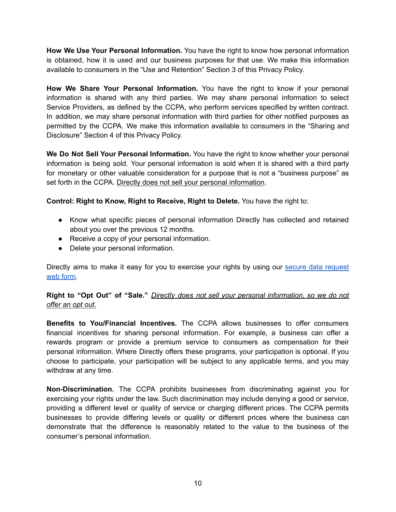**How We Use Your Personal Information.** You have the right to know how personal information is obtained, how it is used and our business purposes for that use. We make this information available to consumers in the "Use and Retention" Section 3 of this Privacy Policy.

**How We Share Your Personal Information.** You have the right to know if your personal information is shared with any third parties. We may share personal information to select Service Providers, as defined by the CCPA, who perform services specified by written contract. In addition, we may share personal information with third parties for other notified purposes as permitted by the CCPA. We make this information available to consumers in the "Sharing and Disclosure" Section 4 of this Privacy Policy.

**We Do Not Sell Your Personal Information.** You have the right to know whether your personal information is being sold. Your personal information is sold when it is shared with a third party for monetary or other valuable consideration for a purpose that is not a "business purpose" as set forth in the CCPA. Directly does not sell your personal information.

**Control: Right to Know, Right to Receive, Right to Delete.** You have the right to:

- Know what specific pieces of personal information Directly has collected and retained about you over the previous 12 months.
- Receive a copy of your personal information.
- Delete your personal information.

Directly aims to make it easy for you to exercise your rights by using our secure data [request](https://privacyportal-eu.onetrust.com/webform/15281027-03c3-4fd3-9572-f38ab1d30f12/57870379-7e35-47ac-9690-21993bfbdc5a) web [form](https://privacyportal-eu.onetrust.com/webform/15281027-03c3-4fd3-9572-f38ab1d30f12/57870379-7e35-47ac-9690-21993bfbdc5a).

**Right to "Opt Out" of "Sale."** *Directly does not sell your personal information, so we do not offer an opt out.*

**Benefits to You/Financial Incentives.** The CCPA allows businesses to offer consumers financial incentives for sharing personal information. For example, a business can offer a rewards program or provide a premium service to consumers as compensation for their personal information. Where Directly offers these programs, your participation is optional. If you choose to participate, your participation will be subject to any applicable terms, and you may withdraw at any time.

**Non-Discrimination.** The CCPA prohibits businesses from discriminating against you for exercising your rights under the law. Such discrimination may include denying a good or service, providing a different level or quality of service or charging different prices. The CCPA permits businesses to provide differing levels or quality or different prices where the business can demonstrate that the difference is reasonably related to the value to the business of the consumer's personal information.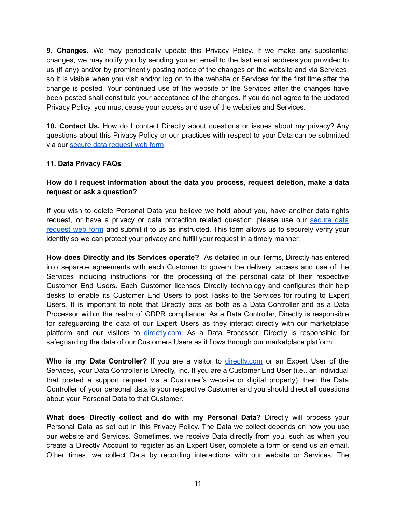**9. Changes.** We may periodically update this Privacy Policy. If we make any substantial changes, we may notify you by sending you an email to the last email address you provided to us (if any) and/or by prominently posting notice of the changes on the website and via Services, so it is visible when you visit and/or log on to the website or Services for the first time after the change is posted. Your continued use of the website or the Services after the changes have been posted shall constitute your acceptance of the changes. If you do not agree to the updated Privacy Policy, you must cease your access and use of the websites and Services.

**10. Contact Us.** How do I contact Directly about questions or issues about my privacy? Any questions about this Privacy Policy or our practices with respect to your Data can be submitted via our secure data [request](https://privacyportal-eu.onetrust.com/webform/15281027-03c3-4fd3-9572-f38ab1d30f12/57870379-7e35-47ac-9690-21993bfbdc5a) web form.

# **11. Data Privacy FAQs**

# **How do I request information about the data you process, request deletion, make a data request or ask a question?**

If you wish to delete Personal Data you believe we hold about you, have another data rights request, or have a privacy or data protection related question, please use our [secure](https://privacyportal-eu.onetrust.com/webform/15281027-03c3-4fd3-9572-f38ab1d30f12/57870379-7e35-47ac-9690-21993bfbdc5a) data [request](https://privacyportal-eu.onetrust.com/webform/15281027-03c3-4fd3-9572-f38ab1d30f12/57870379-7e35-47ac-9690-21993bfbdc5a) web form and submit it to us as instructed. This form allows us to securely verify your identity so we can protect your privacy and fulfill your request in a timely manner.

**How does Directly and its Services operate?** As detailed in our Terms, Directly has entered into separate agreements with each Customer to govern the delivery, access and use of the Services including instructions for the processing of the personal data of their respective Customer End Users. Each Customer licenses Directly technology and configures their help desks to enable its Customer End Users to post Tasks to the Services for routing to Expert Users. It is important to note that Directly acts as both as a Data Controller and as a Data Processor within the realm of GDPR compliance: As a Data Controller, Directly is responsible for safeguarding the data of our Expert Users as they interact directly with our marketplace platform and our visitors to [directly.com](http://www.directly.com). As a Data Processor, Directly is responsible for safeguarding the data of our Customers Users as it flows through our marketplace platform.

**Who is my Data Controller?** If you are a visitor to [directly.com](http://www.directly.com) or an Expert User of the Services, your Data Controller is Directly, Inc. If you are a Customer End User (i.e., an individual that posted a support request via a Customer's website or digital property), then the Data Controller of your personal data is your respective Customer and you should direct all questions about your Personal Data to that Customer.

**What does Directly collect and do with my Personal Data?** Directly will process your Personal Data as set out in this Privacy Policy. The Data we collect depends on how you use our website and Services. Sometimes, we receive Data directly from you, such as when you create a Directly Account to register as an Expert User, complete a form or send us an email. Other times, we collect Data by recording interactions with our website or Services. The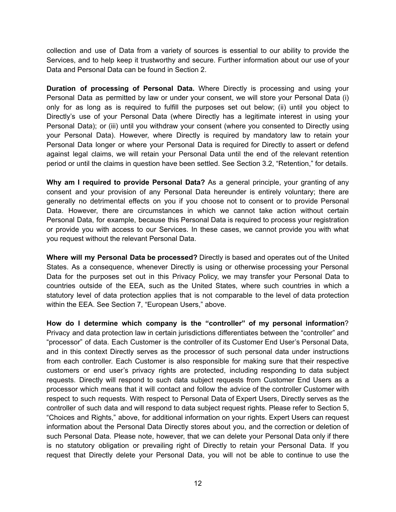collection and use of Data from a variety of sources is essential to our ability to provide the Services, and to help keep it trustworthy and secure. Further information about our use of your Data and Personal Data can be found in Section 2.

**Duration of processing of Personal Data.** Where Directly is processing and using your Personal Data as permitted by law or under your consent, we will store your Personal Data (i) only for as long as is required to fulfill the purposes set out below; (ii) until you object to Directly's use of your Personal Data (where Directly has a legitimate interest in using your Personal Data); or (iii) until you withdraw your consent (where you consented to Directly using your Personal Data). However, where Directly is required by mandatory law to retain your Personal Data longer or where your Personal Data is required for Directly to assert or defend against legal claims, we will retain your Personal Data until the end of the relevant retention period or until the claims in question have been settled. See Section 3.2, "Retention," for details.

**Why am I required to provide Personal Data?** As a general principle, your granting of any consent and your provision of any Personal Data hereunder is entirely voluntary; there are generally no detrimental effects on you if you choose not to consent or to provide Personal Data. However, there are circumstances in which we cannot take action without certain Personal Data, for example, because this Personal Data is required to process your registration or provide you with access to our Services. In these cases, we cannot provide you with what you request without the relevant Personal Data.

**Where will my Personal Data be processed?** Directly is based and operates out of the United States. As a consequence, whenever Directly is using or otherwise processing your Personal Data for the purposes set out in this Privacy Policy, we may transfer your Personal Data to countries outside of the EEA, such as the United States, where such countries in which a statutory level of data protection applies that is not comparable to the level of data protection within the EEA. See Section 7, "European Users," above.

**How do I determine which company is the "controller" of my personal information**? Privacy and data protection law in certain jurisdictions differentiates between the "controller" and "processor" of data. Each Customer is the controller of its Customer End User's Personal Data, and in this context Directly serves as the processor of such personal data under instructions from each controller. Each Customer is also responsible for making sure that their respective customers or end user's privacy rights are protected, including responding to data subject requests. Directly will respond to such data subject requests from Customer End Users as a processor which means that it will contact and follow the advice of the controller Customer with respect to such requests. With respect to Personal Data of Expert Users, Directly serves as the controller of such data and will respond to data subject request rights. Please refer to Section 5, "Choices and Rights," above, for additional information on your rights. Expert Users can request information about the Personal Data Directly stores about you, and the correction or deletion of such Personal Data. Please note, however, that we can delete your Personal Data only if there is no statutory obligation or prevailing right of Directly to retain your Personal Data. If you request that Directly delete your Personal Data, you will not be able to continue to use the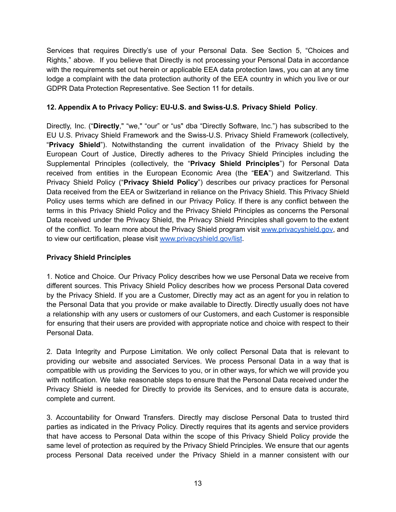Services that requires Directly's use of your Personal Data. See Section 5, "Choices and Rights," above. If you believe that Directly is not processing your Personal Data in accordance with the requirements set out herein or applicable EEA data protection laws, you can at any time lodge a complaint with the data protection authority of the EEA country in which you live or our GDPR Data Protection Representative. See Section 11 for details.

## **12. Appendix A to Privacy Policy: EU-U.S. and Swiss-U.S. Privacy Shield Policy**.

Directly, Inc. ("**Directly**," "we," "our" or "us" dba "Directly Software, Inc.") has subscribed to the EU U.S. Privacy Shield Framework and the Swiss-U.S. Privacy Shield Framework (collectively, "**Privacy Shield**"). Notwithstanding the current invalidation of the Privacy Shield by the European Court of Justice, Directly adheres to the Privacy Shield Principles including the Supplemental Principles (collectively, the "**Privacy Shield Principles**") for Personal Data received from entities in the European Economic Area (the "**EEA**") and Switzerland. This Privacy Shield Policy ("**Privacy Shield Policy**") describes our privacy practices for Personal Data received from the EEA or Switzerland in reliance on the Privacy Shield. This Privacy Shield Policy uses terms which are defined in our Privacy Policy. If there is any conflict between the terms in this Privacy Shield Policy and the Privacy Shield Principles as concerns the Personal Data received under the Privacy Shield, the Privacy Shield Principles shall govern to the extent of the conflict. To learn more about the Privacy Shield program visit [www.privacyshield.gov](http://www.privacyshield.gov), and to view our certification, please visit [www.privacyshield.gov/list](https://www.privacyshield.gov/list).

#### **Privacy Shield Principles**

1. Notice and Choice. Our Privacy Policy describes how we use Personal Data we receive from different sources. This Privacy Shield Policy describes how we process Personal Data covered by the Privacy Shield. If you are a Customer, Directly may act as an agent for you in relation to the Personal Data that you provide or make available to Directly. Directly usually does not have a relationship with any users or customers of our Customers, and each Customer is responsible for ensuring that their users are provided with appropriate notice and choice with respect to their Personal Data.

2. Data Integrity and Purpose Limitation. We only collect Personal Data that is relevant to providing our website and associated Services. We process Personal Data in a way that is compatible with us providing the Services to you, or in other ways, for which we will provide you with notification. We take reasonable steps to ensure that the Personal Data received under the Privacy Shield is needed for Directly to provide its Services, and to ensure data is accurate, complete and current.

3. Accountability for Onward Transfers. Directly may disclose Personal Data to trusted third parties as indicated in the Privacy Policy. Directly requires that its agents and service providers that have access to Personal Data within the scope of this Privacy Shield Policy provide the same level of protection as required by the Privacy Shield Principles. We ensure that our agents process Personal Data received under the Privacy Shield in a manner consistent with our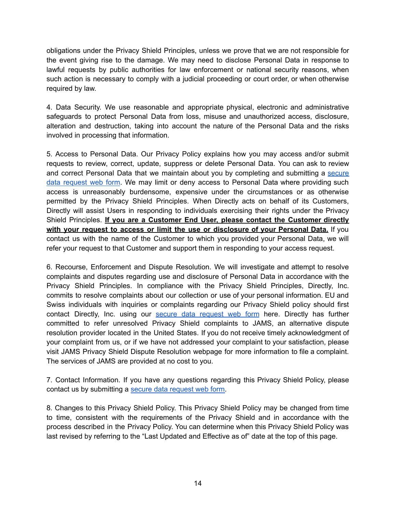obligations under the Privacy Shield Principles, unless we prove that we are not responsible for the event giving rise to the damage. We may need to disclose Personal Data in response to lawful requests by public authorities for law enforcement or national security reasons, when such action is necessary to comply with a judicial proceeding or court order, or when otherwise required by law.

4. Data Security. We use reasonable and appropriate physical, electronic and administrative safeguards to protect Personal Data from loss, misuse and unauthorized access, disclosure, alteration and destruction, taking into account the nature of the Personal Data and the risks involved in processing that information.

5. Access to Personal Data. Our Privacy Policy explains how you may access and/or submit requests to review, correct, update, suppress or delete Personal Data. You can ask to review and correct Personal Data that we maintain about you by completing and submitting a [secure](https://privacyportal-eu.onetrust.com/webform/15281027-03c3-4fd3-9572-f38ab1d30f12/57870379-7e35-47ac-9690-21993bfbdc5a) data [request](https://privacyportal-eu.onetrust.com/webform/15281027-03c3-4fd3-9572-f38ab1d30f12/57870379-7e35-47ac-9690-21993bfbdc5a) web form. We may limit or deny access to Personal Data where providing such access is unreasonably burdensome, expensive under the circumstances or as otherwise permitted by the Privacy Shield Principles. When Directly acts on behalf of its Customers, Directly will assist Users in responding to individuals exercising their rights under the Privacy Shield Principles. **If you are a Customer End User, please contact the Customer directly with your request to access or limit the use or disclosure of your Personal Data.** If you contact us with the name of the Customer to which you provided your Personal Data, we will refer your request to that Customer and support them in responding to your access request.

6. Recourse, Enforcement and Dispute Resolution. We will investigate and attempt to resolve complaints and disputes regarding use and disclosure of Personal Data in accordance with the Privacy Shield Principles. In compliance with the Privacy Shield Principles, Directly, Inc. commits to resolve complaints about our collection or use of your personal information. EU and Swiss individuals with inquiries or complaints regarding our Privacy Shield policy should first contact Directly, Inc. using our secure data [request](https://privacyportal-eu.onetrust.com/webform/15281027-03c3-4fd3-9572-f38ab1d30f12/57870379-7e35-47ac-9690-21993bfbdc5a) web form here. Directly has further committed to refer unresolved Privacy Shield complaints to JAMS, an alternative dispute resolution provider located in the United States. If you do not receive timely acknowledgment of your complaint from us, or if we have not addressed your complaint to your satisfaction, please visit JAMS Privacy Shield Dispute Resolution webpage for more information to file a complaint. The services of JAMS are provided at no cost to you.

7. Contact Information. If you have any questions regarding this Privacy Shield Policy, please contact us by submitting a secure data [request](https://privacyportal-eu.onetrust.com/webform/15281027-03c3-4fd3-9572-f38ab1d30f12/57870379-7e35-47ac-9690-21993bfbdc5a) web form.

8. Changes to this Privacy Shield Policy. This Privacy Shield Policy may be changed from time to time, consistent with the requirements of the Privacy Shield and in accordance with the process described in the Privacy Policy. You can determine when this Privacy Shield Policy was last revised by referring to the "Last Updated and Effective as of" date at the top of this page.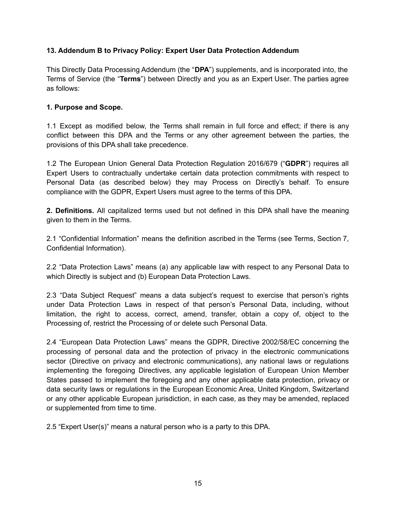# **13. Addendum B to Privacy Policy: Expert User Data Protection Addendum**

This Directly Data Processing Addendum (the "**DPA**") supplements, and is incorporated into, the Terms of Service (the "**Terms**") between Directly and you as an Expert User. The parties agree as follows:

### **1. Purpose and Scope.**

1.1 Except as modified below, the Terms shall remain in full force and effect; if there is any conflict between this DPA and the Terms or any other agreement between the parties, the provisions of this DPA shall take precedence.

1.2 The European Union General Data Protection Regulation 2016/679 ("**GDPR**") requires all Expert Users to contractually undertake certain data protection commitments with respect to Personal Data (as described below) they may Process on Directly's behalf. To ensure compliance with the GDPR, Expert Users must agree to the terms of this DPA.

**2. Definitions.** All capitalized terms used but not defined in this DPA shall have the meaning given to them in the Terms.

2.1 "Confidential Information" means the definition ascribed in the Terms (see Terms, Section 7, Confidential Information).

2.2 "Data Protection Laws" means (a) any applicable law with respect to any Personal Data to which Directly is subject and (b) European Data Protection Laws.

2.3 "Data Subject Request" means a data subject's request to exercise that person's rights under Data Protection Laws in respect of that person's Personal Data, including, without limitation, the right to access, correct, amend, transfer, obtain a copy of, object to the Processing of, restrict the Processing of or delete such Personal Data.

2.4 "European Data Protection Laws" means the GDPR, Directive 2002/58/EC concerning the processing of personal data and the protection of privacy in the electronic communications sector (Directive on privacy and electronic communications), any national laws or regulations implementing the foregoing Directives, any applicable legislation of European Union Member States passed to implement the foregoing and any other applicable data protection, privacy or data security laws or regulations in the European Economic Area, United Kingdom, Switzerland or any other applicable European jurisdiction, in each case, as they may be amended, replaced or supplemented from time to time.

2.5 "Expert User(s)" means a natural person who is a party to this DPA.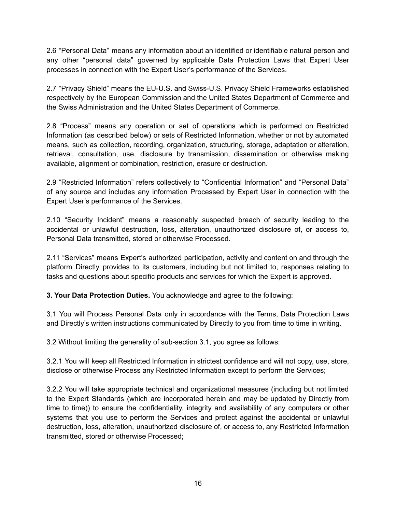2.6 "Personal Data" means any information about an identified or identifiable natural person and any other "personal data" governed by applicable Data Protection Laws that Expert User processes in connection with the Expert User's performance of the Services.

2.7 "Privacy Shield" means the EU-U.S. and Swiss-U.S. Privacy Shield Frameworks established respectively by the European Commission and the United States Department of Commerce and the Swiss Administration and the United States Department of Commerce.

2.8 "Process" means any operation or set of operations which is performed on Restricted Information (as described below) or sets of Restricted Information, whether or not by automated means, such as collection, recording, organization, structuring, storage, adaptation or alteration, retrieval, consultation, use, disclosure by transmission, dissemination or otherwise making available, alignment or combination, restriction, erasure or destruction.

2.9 "Restricted Information" refers collectively to "Confidential Information" and "Personal Data" of any source and includes any information Processed by Expert User in connection with the Expert User's performance of the Services.

2.10 "Security Incident" means a reasonably suspected breach of security leading to the accidental or unlawful destruction, loss, alteration, unauthorized disclosure of, or access to, Personal Data transmitted, stored or otherwise Processed.

2.11 "Services" means Expert's authorized participation, activity and content on and through the platform Directly provides to its customers, including but not limited to, responses relating to tasks and questions about specific products and services for which the Expert is approved.

**3. Your Data Protection Duties.** You acknowledge and agree to the following:

3.1 You will Process Personal Data only in accordance with the Terms, Data Protection Laws and Directly's written instructions communicated by Directly to you from time to time in writing.

3.2 Without limiting the generality of sub-section 3.1, you agree as follows:

3.2.1 You will keep all Restricted Information in strictest confidence and will not copy, use, store, disclose or otherwise Process any Restricted Information except to perform the Services;

3.2.2 You will take appropriate technical and organizational measures (including but not limited to the Expert Standards (which are incorporated herein and may be updated by Directly from time to time)) to ensure the confidentiality, integrity and availability of any computers or other systems that you use to perform the Services and protect against the accidental or unlawful destruction, loss, alteration, unauthorized disclosure of, or access to, any Restricted Information transmitted, stored or otherwise Processed;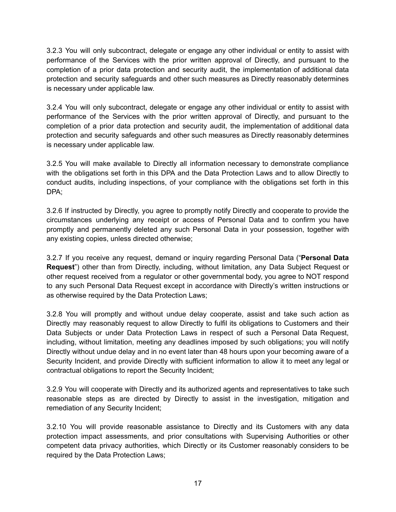3.2.3 You will only subcontract, delegate or engage any other individual or entity to assist with performance of the Services with the prior written approval of Directly, and pursuant to the completion of a prior data protection and security audit, the implementation of additional data protection and security safeguards and other such measures as Directly reasonably determines is necessary under applicable law.

3.2.4 You will only subcontract, delegate or engage any other individual or entity to assist with performance of the Services with the prior written approval of Directly, and pursuant to the completion of a prior data protection and security audit, the implementation of additional data protection and security safeguards and other such measures as Directly reasonably determines is necessary under applicable law.

3.2.5 You will make available to Directly all information necessary to demonstrate compliance with the obligations set forth in this DPA and the Data Protection Laws and to allow Directly to conduct audits, including inspections, of your compliance with the obligations set forth in this DPA;

3.2.6 If instructed by Directly, you agree to promptly notify Directly and cooperate to provide the circumstances underlying any receipt or access of Personal Data and to confirm you have promptly and permanently deleted any such Personal Data in your possession, together with any existing copies, unless directed otherwise;

3.2.7 If you receive any request, demand or inquiry regarding Personal Data ("**Personal Data Request**") other than from Directly, including, without limitation, any Data Subject Request or other request received from a regulator or other governmental body, you agree to NOT respond to any such Personal Data Request except in accordance with Directly's written instructions or as otherwise required by the Data Protection Laws;

3.2.8 You will promptly and without undue delay cooperate, assist and take such action as Directly may reasonably request to allow Directly to fulfil its obligations to Customers and their Data Subjects or under Data Protection Laws in respect of such a Personal Data Request, including, without limitation, meeting any deadlines imposed by such obligations; you will notify Directly without undue delay and in no event later than 48 hours upon your becoming aware of a Security Incident, and provide Directly with sufficient information to allow it to meet any legal or contractual obligations to report the Security Incident;

3.2.9 You will cooperate with Directly and its authorized agents and representatives to take such reasonable steps as are directed by Directly to assist in the investigation, mitigation and remediation of any Security Incident;

3.2.10 You will provide reasonable assistance to Directly and its Customers with any data protection impact assessments, and prior consultations with Supervising Authorities or other competent data privacy authorities, which Directly or its Customer reasonably considers to be required by the Data Protection Laws;